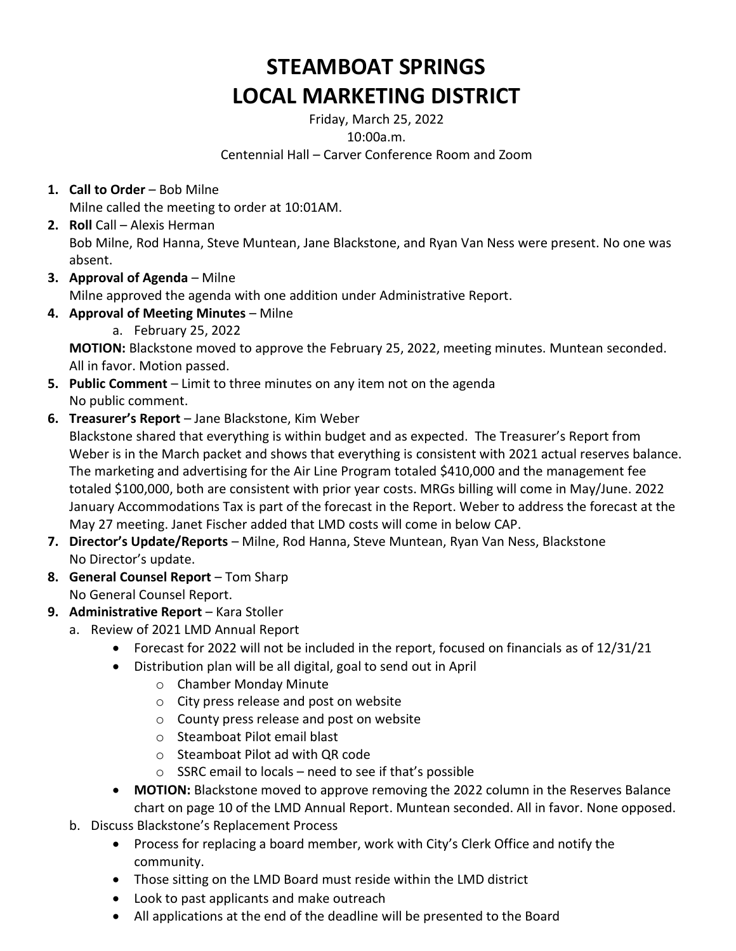## **STEAMBOAT SPRINGS LOCAL MARKETING DISTRICT**

Friday, March 25, 2022 10:00a.m. Centennial Hall – Carver Conference Room and Zoom

**1. Call to Order** – Bob Milne

Milne called the meeting to order at 10:01AM.

- **2. Roll** Call Alexis Herman Bob Milne, Rod Hanna, Steve Muntean, Jane Blackstone, and Ryan Van Ness were present. No one was absent.
- **3. Approval of Agenda** Milne

Milne approved the agenda with one addition under Administrative Report.

**4. Approval of Meeting Minutes** – Milne

a. February 25, 2022

**MOTION:** Blackstone moved to approve the February 25, 2022, meeting minutes. Muntean seconded. All in favor. Motion passed.

- **5. Public Comment** Limit to three minutes on any item not on the agenda No public comment.
- **6. Treasurer's Report** Jane Blackstone, Kim Weber

Blackstone shared that everything is within budget and as expected. The Treasurer's Report from Weber is in the March packet and shows that everything is consistent with 2021 actual reserves balance. The marketing and advertising for the Air Line Program totaled \$410,000 and the management fee totaled \$100,000, both are consistent with prior year costs. MRGs billing will come in May/June. 2022 January Accommodations Tax is part of the forecast in the Report. Weber to address the forecast at the May 27 meeting. Janet Fischer added that LMD costs will come in below CAP.

- **7. Director's Update/Reports** Milne, Rod Hanna, Steve Muntean, Ryan Van Ness, Blackstone No Director's update.
- **8. General Counsel Report** Tom Sharp No General Counsel Report.
- **9. Administrative Report** Kara Stoller
	- a. Review of 2021 LMD Annual Report
		- Forecast for 2022 will not be included in the report, focused on financials as of 12/31/21
		- Distribution plan will be all digital, goal to send out in April
			- o Chamber Monday Minute
			- o City press release and post on website
			- o County press release and post on website
			- o Steamboat Pilot email blast
			- o Steamboat Pilot ad with QR code
			- $\circ$  SSRC email to locals need to see if that's possible
		- **MOTION:** Blackstone moved to approve removing the 2022 column in the Reserves Balance chart on page 10 of the LMD Annual Report. Muntean seconded. All in favor. None opposed.
	- b. Discuss Blackstone's Replacement Process
		- Process for replacing a board member, work with City's Clerk Office and notify the community.
		- Those sitting on the LMD Board must reside within the LMD district
		- Look to past applicants and make outreach
		- All applications at the end of the deadline will be presented to the Board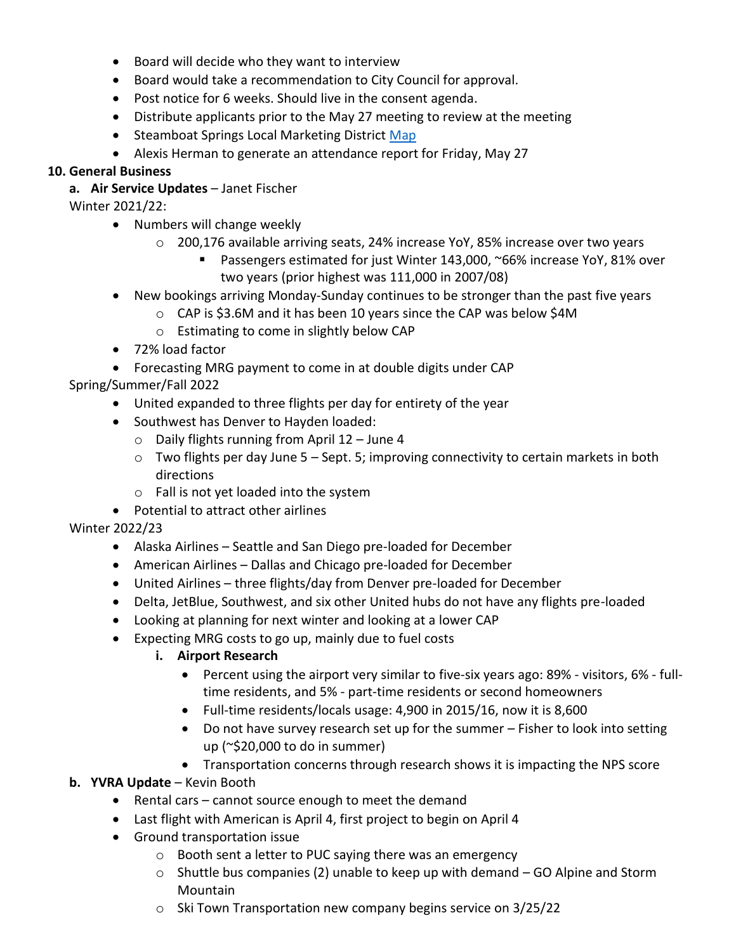- Board will decide who they want to interview
- Board would take a recommendation to City Council for approval.
- Post notice for 6 weeks. Should live in the consent agenda.
- Distribute applicants prior to the May 27 meeting to review at the meeting
- Steamboat Springs Local Marketing District [Map](file://///DC01/BoatDrinks/Community%20Development/LMD/Misc.Docs/LMD%20map_2018.pdf)
- Alexis Herman to generate an attendance report for Friday, May 27

## **10. General Business**

**a. Air Service Updates** – Janet Fischer

Winter 2021/22:

- Numbers will change weekly
	- $\circ$  200,176 available arriving seats, 24% increase YoY, 85% increase over two years
		- Passengers estimated for just Winter 143,000, ~66% increase YoY, 81% over two years (prior highest was 111,000 in 2007/08)
- New bookings arriving Monday-Sunday continues to be stronger than the past five years
	- o CAP is \$3.6M and it has been 10 years since the CAP was below \$4M
	- o Estimating to come in slightly below CAP
- 72% load factor
- Forecasting MRG payment to come in at double digits under CAP

Spring/Summer/Fall 2022

- United expanded to three flights per day for entirety of the year
- Southwest has Denver to Hayden loaded:
	- $\circ$  Daily flights running from April 12 June 4
	- $\circ$  Two flights per day June 5 Sept. 5; improving connectivity to certain markets in both directions
	- o Fall is not yet loaded into the system
- Potential to attract other airlines

Winter 2022/23

- Alaska Airlines Seattle and San Diego pre-loaded for December
- American Airlines Dallas and Chicago pre-loaded for December
- United Airlines three flights/day from Denver pre-loaded for December
- Delta, JetBlue, Southwest, and six other United hubs do not have any flights pre-loaded
- Looking at planning for next winter and looking at a lower CAP
- Expecting MRG costs to go up, mainly due to fuel costs
	- **i. Airport Research**
		- Percent using the airport very similar to five-six years ago: 89% visitors, 6% fulltime residents, and 5% - part-time residents or second homeowners
		- Full-time residents/locals usage: 4,900 in 2015/16, now it is 8,600
		- Do not have survey research set up for the summer Fisher to look into setting up (~\$20,000 to do in summer)
		- Transportation concerns through research shows it is impacting the NPS score
- **b. YVRA Update** Kevin Booth
	- Rental cars cannot source enough to meet the demand
	- Last flight with American is April 4, first project to begin on April 4
	- Ground transportation issue
		- o Booth sent a letter to PUC saying there was an emergency
		- o Shuttle bus companies (2) unable to keep up with demand GO Alpine and Storm Mountain
		- o Ski Town Transportation new company begins service on 3/25/22